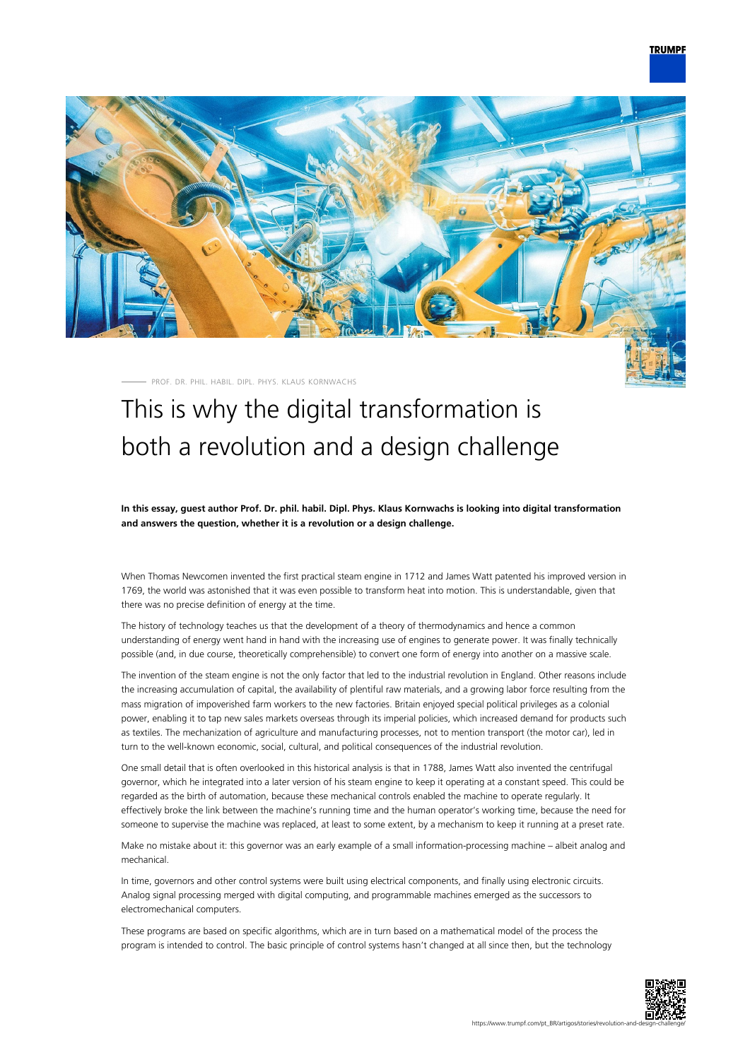## **TRUMPF**



PROF. DR. PHIL. HABIL. DIPL. PHYS. KLAUS KORNWACHS

# This is why the digital transformation is both a revolution and a design challenge

**In this essay, guest author Prof. Dr. phil. habil. Dipl. Phys. Klaus Kornwachs is looking into digital transformation and answers the question, whether it is a revolution or a design challenge.**

When Thomas Newcomen invented the first practical steam engine in 1712 and James Watt patented his improved version in 1769, the world was astonished that it was even possible to transform heat into motion. This is understandable, given that there was no precise definition of energy at the time.

The history of technology teaches us that the development of a theory of thermodynamics and hence a common understanding of energy went hand in hand with the increasing use of engines to generate power. It was finally technically possible (and, in due course, theoretically comprehensible) to convert one form of energy into another on a massive scale.

The invention of the steam engine is not the only factor that led to the industrial revolution in England. Other reasons include the increasing accumulation of capital, the availability of plentiful raw materials, and a growing labor force resulting from the mass migration of impoverished farm workers to the new factories. Britain enjoyed special political privileges as a colonial power, enabling it to tap new sales markets overseas through its imperial policies, which increased demand for products such as textiles. The mechanization of agriculture and manufacturing processes, not to mention transport (the motor car), led in turn to the well-known economic, social, cultural, and political consequences of the industrial revolution.

One small detail that is often overlooked in this historical analysis is that in 1788, James Watt also invented the centrifugal governor, which he integrated into a later version of his steam engine to keep it operating at a constant speed. This could be regarded as the birth of automation, because these mechanical controls enabled the machine to operate regularly. It effectively broke the link between the machine's running time and the human operator's working time, because the need for someone to supervise the machine was replaced, at least to some extent, by a mechanism to keep it running at a preset rate.

Make no mistake about it: this governor was an early example of a small information-processing machine – albeit analog and mechanical.

In time, governors and other control systems were built using electrical components, and finally using electronic circuits. Analog signal processing merged with digital computing, and programmable machines emerged as the successors to electromechanical computers.

These programs are based on specific algorithms, which are in turn based on a mathematical model of the process the program is intended to control. The basic principle of control systems hasn't changed at all since then, but the technology

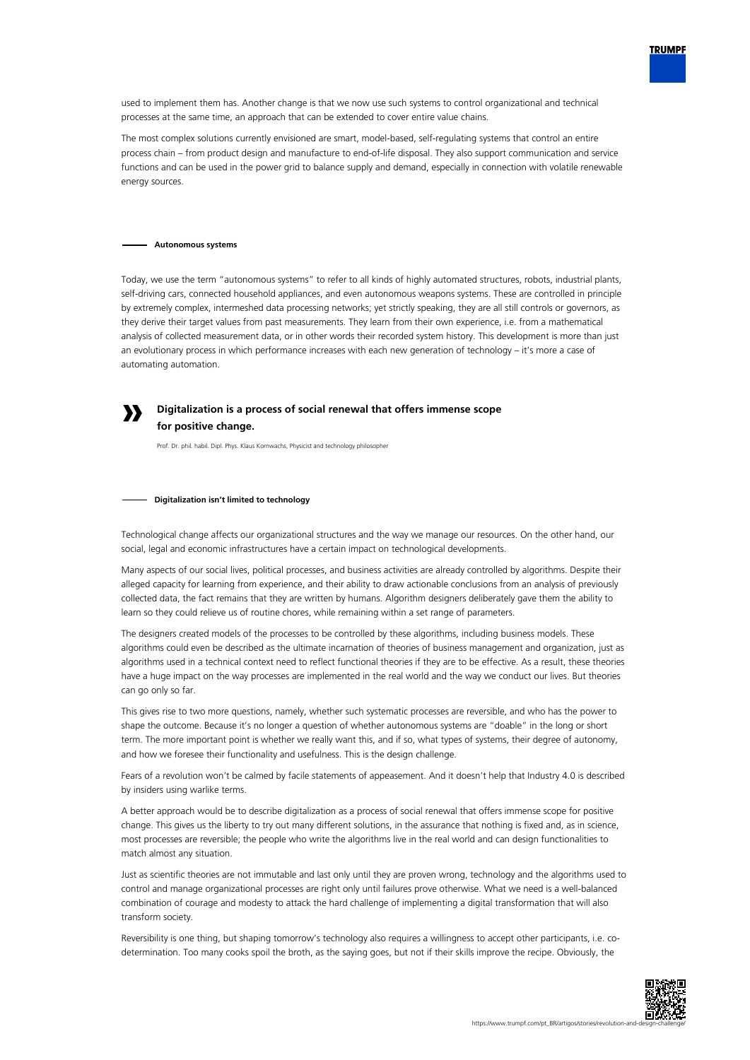

The most complex solutions currently envisioned are smart, model-based, self-regulating systems that control an entire process chain – from product design and manufacture to end-of-life disposal. They also support communication and service functions and can be used in the power grid to balance supply and demand, especially in connection with volatile renewable energy sources.

## **Autonomous systems**

**»**

Today, we use the term "autonomous systems" to refer to all kinds of highly automated structures, robots, industrial plants, self-driving cars, connected household appliances, and even autonomous weapons systems. These are controlled in principle by extremely complex, intermeshed data processing networks; yet strictly speaking, they are all still controls or governors, as they derive their target values from past measurements. They learn from their own experience, i.e. from a mathematical analysis of collected measurement data, or in other words their recorded system history. This development is more than just an evolutionary process in which performance increases with each new generation of technology – it's more a case of automating automation.

## **Digitalization is a process of social renewal that offers immense scope for positive change.**

Prof. Dr. phil. habil. Dipl. Phys. Klaus Kornwachs, Physicist and technology philosopher

#### **Digitalization isn't limited to technology**

Technological change affects our organizational structures and the way we manage our resources. On the other hand, our social, legal and economic infrastructures have a certain impact on technological developments.

Many aspects of our social lives, political processes, and business activities are already controlled by algorithms. Despite their alleged capacity for learning from experience, and their ability to draw actionable conclusions from an analysis of previously collected data, the fact remains that they are written by humans. Algorithm designers deliberately gave them the ability to learn so they could relieve us of routine chores, while remaining within a set range of parameters.

The designers created models of the processes to be controlled by these algorithms, including business models. These algorithms could even be described as the ultimate incarnation of theories of business management and organization, just as algorithms used in a technical context need to reflect functional theories if they are to be effective. As a result, these theories have a huge impact on the way processes are implemented in the real world and the way we conduct our lives. But theories can go only so far.

This gives rise to two more questions, namely, whether such systematic processes are reversible, and who has the power to shape the outcome. Because it's no longer a question of whether autonomous systems are "doable" in the long or short term. The more important point is whether we really want this, and if so, what types of systems, their degree of autonomy, and how we foresee their functionality and usefulness. This is the design challenge.

Fears of a revolution won't be calmed by facile statements of appeasement. And it doesn't help that Industry 4.0 is described by insiders using warlike terms.

A better approach would be to describe digitalization as a process of social renewal that offers immense scope for positive change. This gives us the liberty to try out many different solutions, in the assurance that nothing is fixed and, as in science, most processes are reversible; the people who write the algorithms live in the real world and can design functionalities to match almost any situation.

Just as scientific theories are not immutable and last only until they are proven wrong, technology and the algorithms used to control and manage organizational processes are right only until failures prove otherwise. What we need is a well-balanced combination of courage and modesty to attack the hard challenge of implementing a digital transformation that will also transform society.

Reversibility is one thing, but shaping tomorrow's technology also requires a willingness to accept other participants, i.e. codetermination. Too many cooks spoil the broth, as the saying goes, but not if their skills improve the recipe. Obviously, the



**TRUMPF**